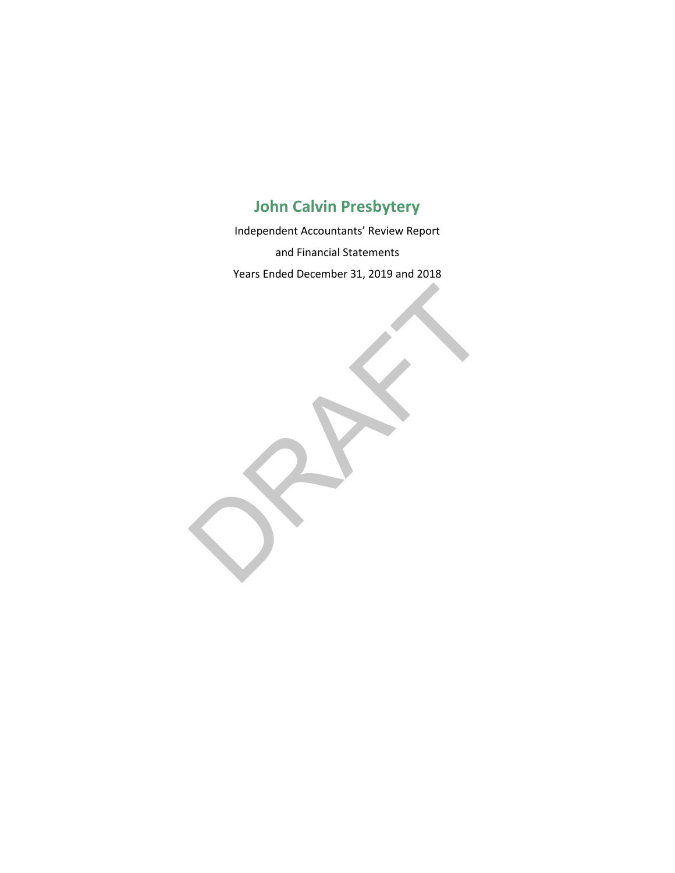Independent Accountants' Review Report and Financial Statements Years Ended December 31, 2019 and 2018

RAFT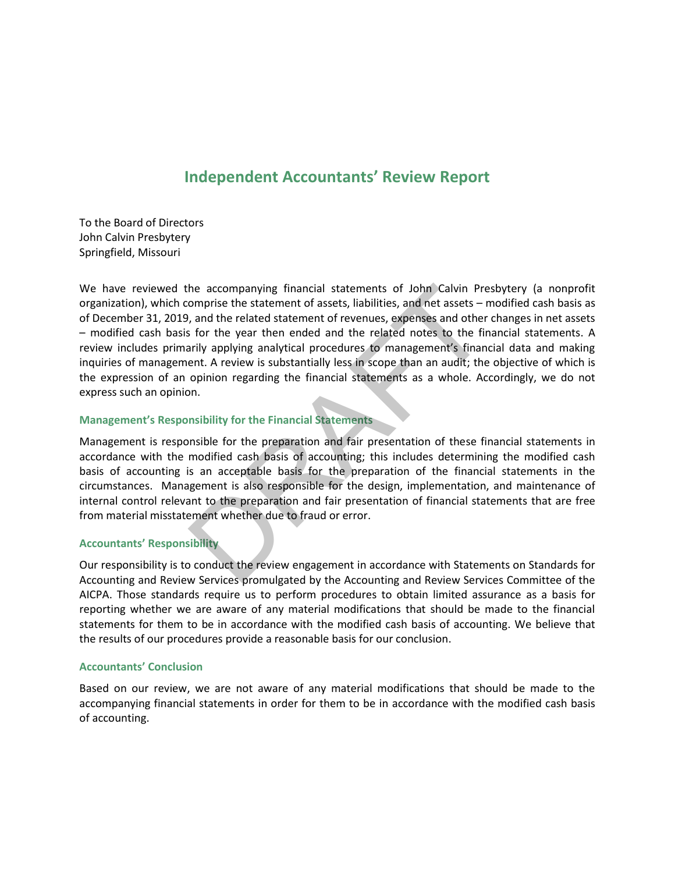## **Independent Accountants' Review Report**

To the Board of Directors John Calvin Presbytery Springfield, Missouri

We have reviewed the accompanying financial statements of John Calvin Presbytery (a nonprofit organization), which comprise the statement of assets, liabilities, and net assets – modified cash basis as of December 31, 2019, and the related statement of revenues, expenses and other changes in net assets – modified cash basis for the year then ended and the related notes to the financial statements. A review includes primarily applying analytical procedures to management's financial data and making inquiries of management. A review is substantially less in scope than an audit; the objective of which is the expression of an opinion regarding the financial statements as a whole. Accordingly, we do not express such an opinion. he accompanying financial statements of John Calvin Pre<br>
omprise the statement of assets, liabilities, and net assets – r<br>
, and the related statement of revenues, expenses and other<br>
s for the year then ended and the rela

#### **Management's Responsibility for the Financial Statements**

Management is responsible for the preparation and fair presentation of these financial statements in accordance with the modified cash basis of accounting; this includes determining the modified cash basis of accounting is an acceptable basis for the preparation of the financial statements in the circumstances. Management is also responsible for the design, implementation, and maintenance of internal control relevant to the preparation and fair presentation of financial statements that are free from material misstatement whether due to fraud or error.

#### **Accountants' Responsibility**

Our responsibility is to conduct the review engagement in accordance with Statements on Standards for Accounting and Review Services promulgated by the Accounting and Review Services Committee of the AICPA. Those standards require us to perform procedures to obtain limited assurance as a basis for reporting whether we are aware of any material modifications that should be made to the financial statements for them to be in accordance with the modified cash basis of accounting. We believe that the results of our procedures provide a reasonable basis for our conclusion.

#### **Accountants' Conclusion**

Based on our review, we are not aware of any material modifications that should be made to the accompanying financial statements in order for them to be in accordance with the modified cash basis of accounting.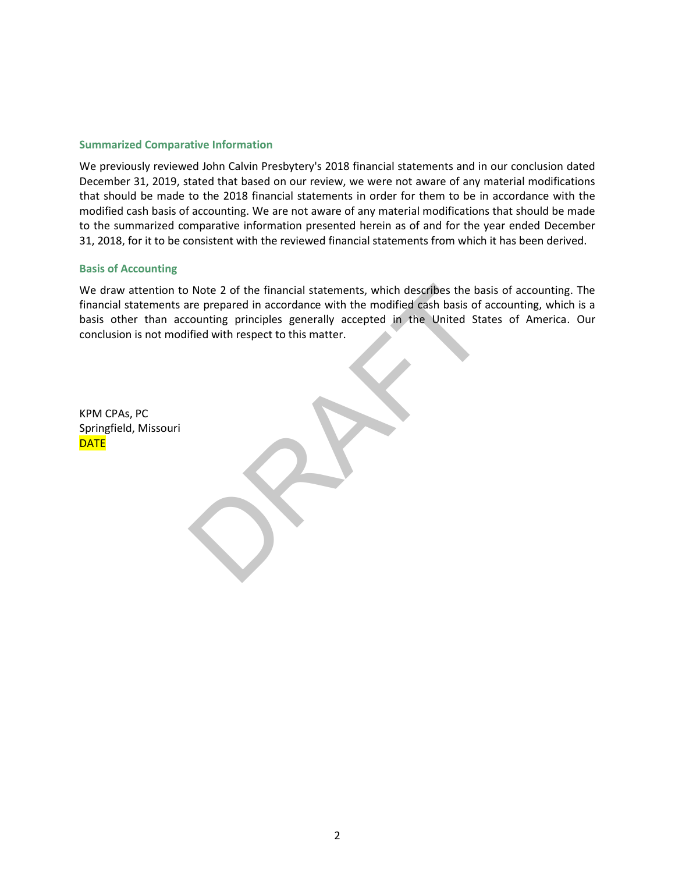#### **Summarized Comparative Information**

We previously reviewed John Calvin Presbytery's 2018 financial statements and in our conclusion dated December 31, 2019, stated that based on our review, we were not aware of any material modifications that should be made to the 2018 financial statements in order for them to be in accordance with the modified cash basis of accounting. We are not aware of any material modifications that should be made to the summarized comparative information presented herein as of and for the year ended December 31, 2018, for it to be consistent with the reviewed financial statements from which it has been derived.

#### **Basis of Accounting**

We draw attention to Note 2 of the financial statements, which describes the basis of accounting. The financial statements are prepared in accordance with the modified cash basis of accounting, which is a basis other than accounting principles generally accepted in the United States of America. Our conclusion is not modified with respect to this matter. Note 2 of the financial statements, which describes the base<br>oriented in accordance with the modified cash basis of a<br>counting principles generally accepted in the United State<br>field with respect to this matter.

KPM CPAs, PC Springfield, Missouri **DATE**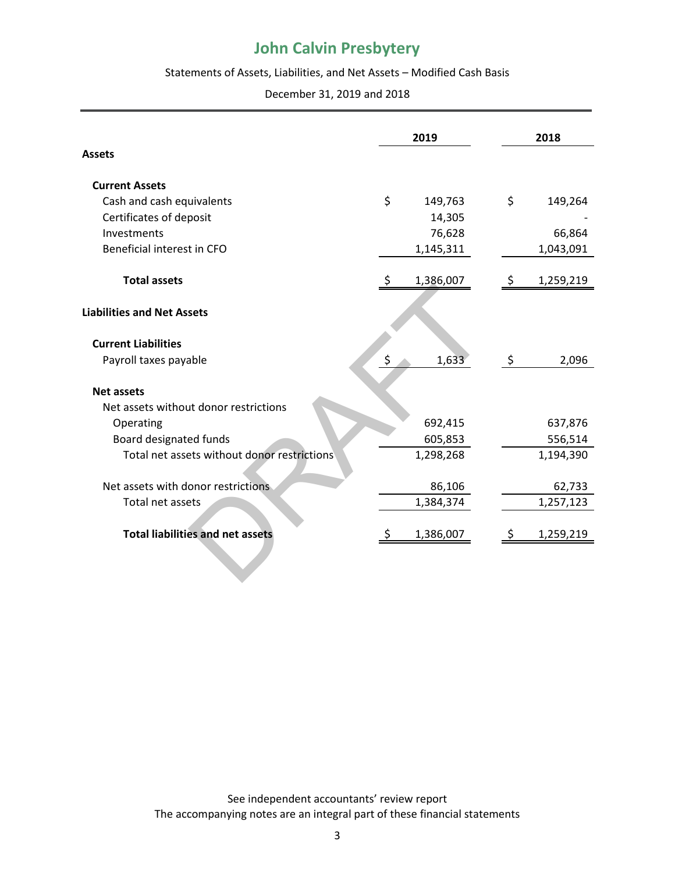#### Statements of Assets, Liabilities, and Net Assets – Modified Cash Basis

December 31, 2019 and 2018

|                                             |    | 2019      |  |    | 2018      |  |  |
|---------------------------------------------|----|-----------|--|----|-----------|--|--|
| <b>Assets</b>                               |    |           |  |    |           |  |  |
| <b>Current Assets</b>                       |    |           |  |    |           |  |  |
| Cash and cash equivalents                   | \$ | 149,763   |  | \$ | 149,264   |  |  |
| Certificates of deposit                     |    | 14,305    |  |    |           |  |  |
| Investments                                 |    | 76,628    |  |    | 66,864    |  |  |
| Beneficial interest in CFO                  |    | 1,145,311 |  |    | 1,043,091 |  |  |
| <b>Total assets</b>                         | S  | 1,386,007 |  |    | 1,259,219 |  |  |
| <b>Liabilities and Net Assets</b>           |    |           |  |    |           |  |  |
| <b>Current Liabilities</b>                  |    |           |  |    |           |  |  |
| Payroll taxes payable                       | \$ | 1,633     |  | \$ | 2,096     |  |  |
| <b>Net assets</b>                           |    |           |  |    |           |  |  |
| Net assets without donor restrictions       |    |           |  |    |           |  |  |
| Operating                                   |    | 692,415   |  |    | 637,876   |  |  |
| Board designated funds                      |    | 605,853   |  |    | 556,514   |  |  |
| Total net assets without donor restrictions |    | 1,298,268 |  |    | 1,194,390 |  |  |
| Net assets with donor restrictions          |    | 86,106    |  |    | 62,733    |  |  |
| Total net assets                            |    | 1,384,374 |  |    | 1,257,123 |  |  |
| <b>Total liabilities and net assets</b>     |    | 1,386,007 |  |    | 1,259,219 |  |  |
|                                             |    |           |  |    |           |  |  |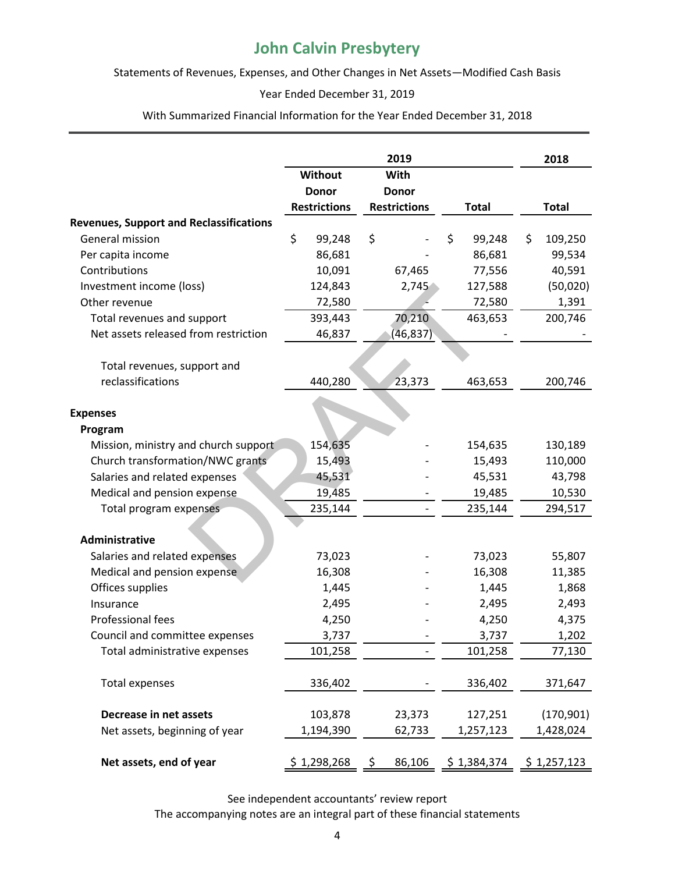Statements of Revenues, Expenses, and Other Changes in Net Assets—Modified Cash Basis

#### Year Ended December 31, 2019

With Summarized Financial Information for the Year Ended December 31, 2018

|                                                |                        |                     |    | 2019                |    |              | 2018          |
|------------------------------------------------|------------------------|---------------------|----|---------------------|----|--------------|---------------|
|                                                | <b>Without</b><br>With |                     |    |                     |    |              |               |
|                                                |                        | <b>Donor</b>        |    | <b>Donor</b>        |    |              |               |
|                                                |                        | <b>Restrictions</b> |    | <b>Restrictions</b> |    | <b>Total</b> | <b>Total</b>  |
| <b>Revenues, Support and Reclassifications</b> |                        |                     |    |                     |    |              |               |
| General mission                                | \$                     | 99,248              | \$ |                     | \$ | 99,248       | \$<br>109,250 |
| Per capita income                              |                        | 86,681              |    |                     |    | 86,681       | 99,534        |
| Contributions                                  |                        | 10,091              |    | 67,465              |    | 77,556       | 40,591        |
| Investment income (loss)                       |                        | 124,843             |    | 2,745               |    | 127,588      | (50,020)      |
| Other revenue                                  |                        | 72,580              |    |                     |    | 72,580       | 1,391         |
| Total revenues and support                     |                        | 393,443             |    | 70,210              |    | 463,653      | 200,746       |
| Net assets released from restriction           |                        | 46,837              |    | (46, 837)           |    |              |               |
| Total revenues, support and                    |                        |                     |    |                     |    |              |               |
| reclassifications                              |                        | 440,280             |    | 23,373              |    | 463,653      | 200,746       |
|                                                |                        |                     |    |                     |    |              |               |
| <b>Expenses</b>                                |                        |                     |    |                     |    |              |               |
| Program                                        |                        |                     |    |                     |    |              |               |
| Mission, ministry and church support           |                        | 154,635             |    |                     |    | 154,635      | 130,189       |
| Church transformation/NWC grants               |                        | 15,493              |    |                     |    | 15,493       | 110,000       |
| Salaries and related expenses                  |                        | 45,531              |    |                     |    | 45,531       | 43,798        |
| Medical and pension expense                    |                        | 19,485              |    |                     |    | 19,485       | 10,530        |
| Total program expenses                         |                        | 235,144             |    |                     |    | 235,144      | 294,517       |
|                                                |                        |                     |    |                     |    |              |               |
| Administrative                                 |                        |                     |    |                     |    |              |               |
| Salaries and related expenses                  |                        | 73,023              |    |                     |    | 73,023       | 55,807        |
| Medical and pension expense                    |                        | 16,308              |    |                     |    | 16,308       | 11,385        |
| Offices supplies                               |                        | 1,445               |    |                     |    | 1,445        | 1,868         |
| Insurance                                      |                        | 2,495               |    |                     |    | 2,495        | 2,493         |
| Professional fees                              |                        | 4,250               |    |                     |    | 4,250        | 4,375         |
| Council and committee expenses                 |                        | 3,737               |    |                     |    | 3,737        | 1,202         |
| Total administrative expenses                  |                        | 101,258             |    |                     |    | 101,258      | 77,130        |
|                                                |                        |                     |    |                     |    |              |               |
| <b>Total expenses</b>                          |                        | 336,402             |    |                     |    | 336,402      | 371,647       |
| Decrease in net assets                         |                        | 103,878             |    | 23,373              |    | 127,251      | (170, 901)    |
| Net assets, beginning of year                  |                        | 1,194,390           |    | 62,733              |    | 1,257,123    | 1,428,024     |
| Net assets, end of year                        | \$1,298,268            |                     | \$ | 86,106              |    | \$1,384,374  | \$1,257,123   |

See independent accountants' review report The accompanying notes are an integral part of these financial statements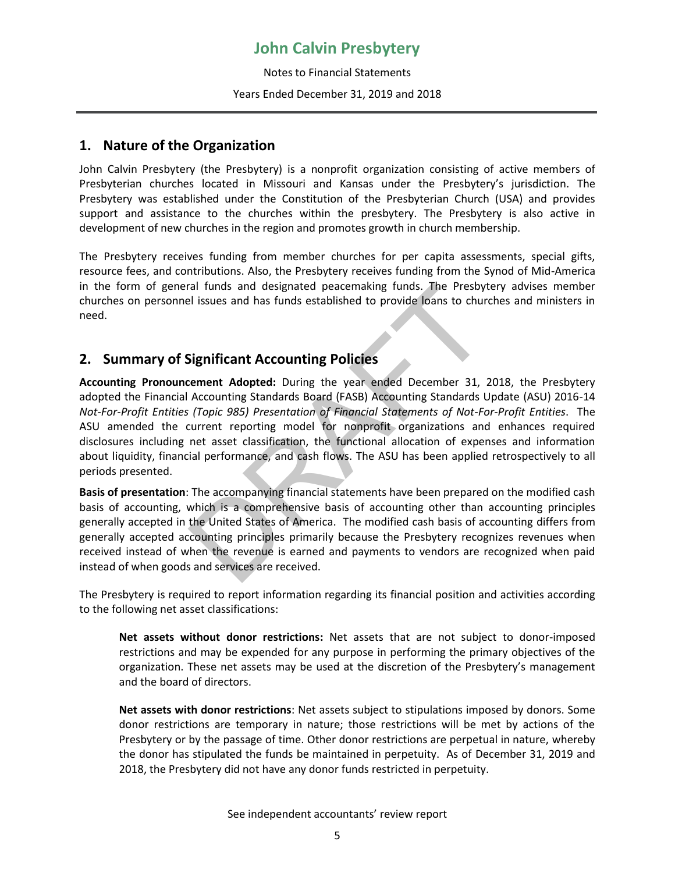Notes to Financial Statements Years Ended December 31, 2019 and 2018

### **1. Nature of the Organization**

John Calvin Presbytery (the Presbytery) is a nonprofit organization consisting of active members of Presbyterian churches located in Missouri and Kansas under the Presbytery's jurisdiction. The Presbytery was established under the Constitution of the Presbyterian Church (USA) and provides support and assistance to the churches within the presbytery. The Presbytery is also active in development of new churches in the region and promotes growth in church membership.

The Presbytery receives funding from member churches for per capita assessments, special gifts, resource fees, and contributions. Also, the Presbytery receives funding from the Synod of Mid-America in the form of general funds and designated peacemaking funds. The Presbytery advises member churches on personnel issues and has funds established to provide loans to churches and ministers in need.

### **2. Summary of Significant Accounting Policies**

**Accounting Pronouncement Adopted:** During the year ended December 31, 2018, the Presbytery adopted the Financial Accounting Standards Board (FASB) Accounting Standards Update (ASU) 2016-14 *Not-For-Profit Entities (Topic 985) Presentation of Financial Statements of Not-For-Profit Entities*. The ASU amended the current reporting model for nonprofit organizations and enhances required disclosures including net asset classification, the functional allocation of expenses and information about liquidity, financial performance, and cash flows. The ASU has been applied retrospectively to all periods presented. ral tunds and designated peacemaking tunds. The Presbyt<br>
el issues and has funds established to provide loans to chur<br> **Significant Accounting Policies**<br> **CRAFT CONTIFICANT CONTIFICANT CONTIFICANT CONTIFICANT CONTIFICANT A** 

**Basis of presentation**: The accompanying financial statements have been prepared on the modified cash basis of accounting, which is a comprehensive basis of accounting other than accounting principles generally accepted in the United States of America. The modified cash basis of accounting differs from generally accepted accounting principles primarily because the Presbytery recognizes revenues when received instead of when the revenue is earned and payments to vendors are recognized when paid instead of when goods and services are received.

The Presbytery is required to report information regarding its financial position and activities according to the following net asset classifications:

**Net assets without donor restrictions:** Net assets that are not subject to donor-imposed restrictions and may be expended for any purpose in performing the primary objectives of the organization. These net assets may be used at the discretion of the Presbytery's management and the board of directors.

**Net assets with donor restrictions**: Net assets subject to stipulations imposed by donors. Some donor restrictions are temporary in nature; those restrictions will be met by actions of the Presbytery or by the passage of time. Other donor restrictions are perpetual in nature, whereby the donor has stipulated the funds be maintained in perpetuity. As of December 31, 2019 and 2018, the Presbytery did not have any donor funds restricted in perpetuity.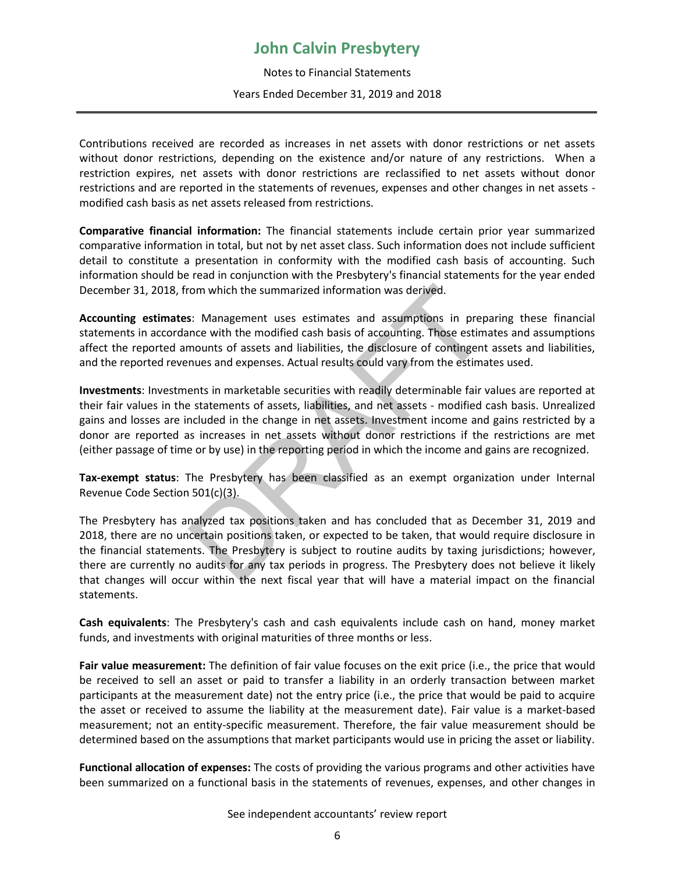Notes to Financial Statements Years Ended December 31, 2019 and 2018

Contributions received are recorded as increases in net assets with donor restrictions or net assets without donor restrictions, depending on the existence and/or nature of any restrictions. When a restriction expires, net assets with donor restrictions are reclassified to net assets without donor restrictions and are reported in the statements of revenues, expenses and other changes in net assets modified cash basis as net assets released from restrictions.

**Comparative financial information:** The financial statements include certain prior year summarized comparative information in total, but not by net asset class. Such information does not include sufficient detail to constitute a presentation in conformity with the modified cash basis of accounting. Such information should be read in conjunction with the Presbytery's financial statements for the year ended December 31, 2018, from which the summarized information was derived.

**Accounting estimates**: Management uses estimates and assumptions in preparing these financial statements in accordance with the modified cash basis of accounting. Those estimates and assumptions affect the reported amounts of assets and liabilities, the disclosure of contingent assets and liabilities, and the reported revenues and expenses. Actual results could vary from the estimates used.

**Investments**: Investments in marketable securities with readily determinable fair values are reported at their fair values in the statements of assets, liabilities, and net assets - modified cash basis. Unrealized gains and losses are included in the change in net assets. Investment income and gains restricted by a donor are reported as increases in net assets without donor restrictions if the restrictions are met (either passage of time or by use) in the reporting period in which the income and gains are recognized. For which the summarized information was derived.<br>
S: Management uses estimates and assumptions in prep<br>
nnce with the modified cash basis of accounting. Those estim<br>
mounts of assets and liabilities, the disclosure of con

**Tax-exempt status**: The Presbytery has been classified as an exempt organization under Internal Revenue Code Section 501(c)(3).

The Presbytery has analyzed tax positions taken and has concluded that as December 31, 2019 and 2018, there are no uncertain positions taken, or expected to be taken, that would require disclosure in the financial statements. The Presbytery is subject to routine audits by taxing jurisdictions; however, there are currently no audits for any tax periods in progress. The Presbytery does not believe it likely that changes will occur within the next fiscal year that will have a material impact on the financial statements.

**Cash equivalents**: The Presbytery's cash and cash equivalents include cash on hand, money market funds, and investments with original maturities of three months or less.

**Fair value measurement:** The definition of fair value focuses on the exit price (i.e., the price that would be received to sell an asset or paid to transfer a liability in an orderly transaction between market participants at the measurement date) not the entry price (i.e., the price that would be paid to acquire the asset or received to assume the liability at the measurement date). Fair value is a market-based measurement; not an entity-specific measurement. Therefore, the fair value measurement should be determined based on the assumptions that market participants would use in pricing the asset or liability.

**Functional allocation of expenses:** The costs of providing the various programs and other activities have been summarized on a functional basis in the statements of revenues, expenses, and other changes in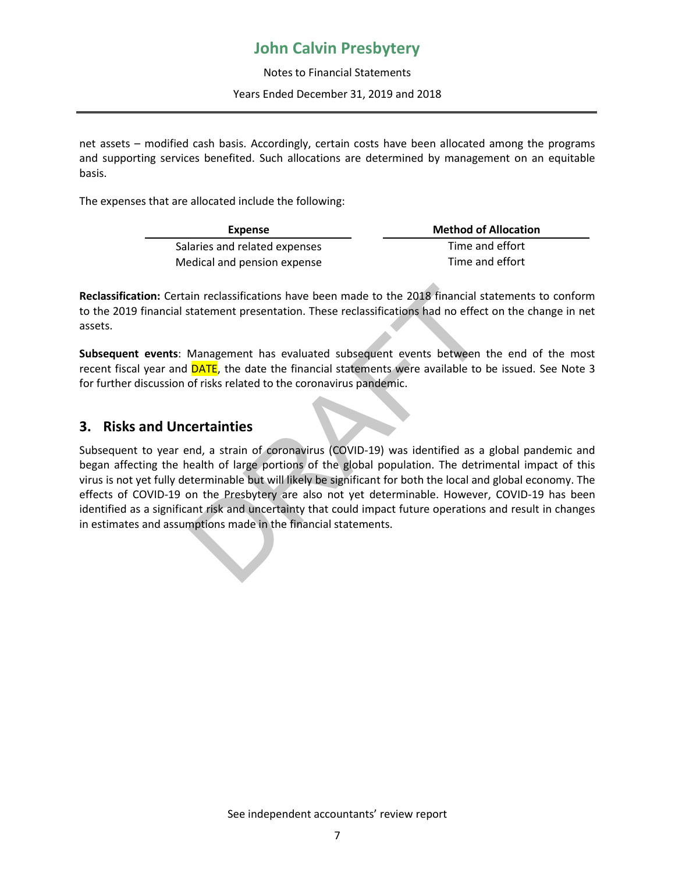Notes to Financial Statements Years Ended December 31, 2019 and 2018

net assets – modified cash basis. Accordingly, certain costs have been allocated among the programs and supporting services benefited. Such allocations are determined by management on an equitable basis.

The expenses that are allocated include the following:

| Expense                       | <b>Method of Allocation</b> |
|-------------------------------|-----------------------------|
| Salaries and related expenses | Time and effort             |
| Medical and pension expense   | Time and effort             |

**Reclassification:** Certain reclassifications have been made to the 2018 financial statements to conform to the 2019 financial statement presentation. These reclassifications had no effect on the change in net assets.

**Subsequent events**: Management has evaluated subsequent events between the end of the most recent fiscal year and **DATE**, the date the financial statements were available to be issued. See Note 3 for further discussion of risks related to the coronavirus pandemic.

### **3. Risks and Uncertainties**

Subsequent to year end, a strain of coronavirus (COVID-19) was identified as a global pandemic and began affecting the health of large portions of the global population. The detrimental impact of this virus is not yet fully determinable but will likely be significant for both the local and global economy. The effects of COVID-19 on the Presbytery are also not yet determinable. However, COVID-19 has been identified as a significant risk and uncertainty that could impact future operations and result in changes in estimates and assumptions made in the financial statements. ian reclassifications have been made to the 2018 financial st<br>
statement presentation. These reclassifications had no effect<br>
Management has evaluated subsequent events between<br>
DATE, the date the financial statements were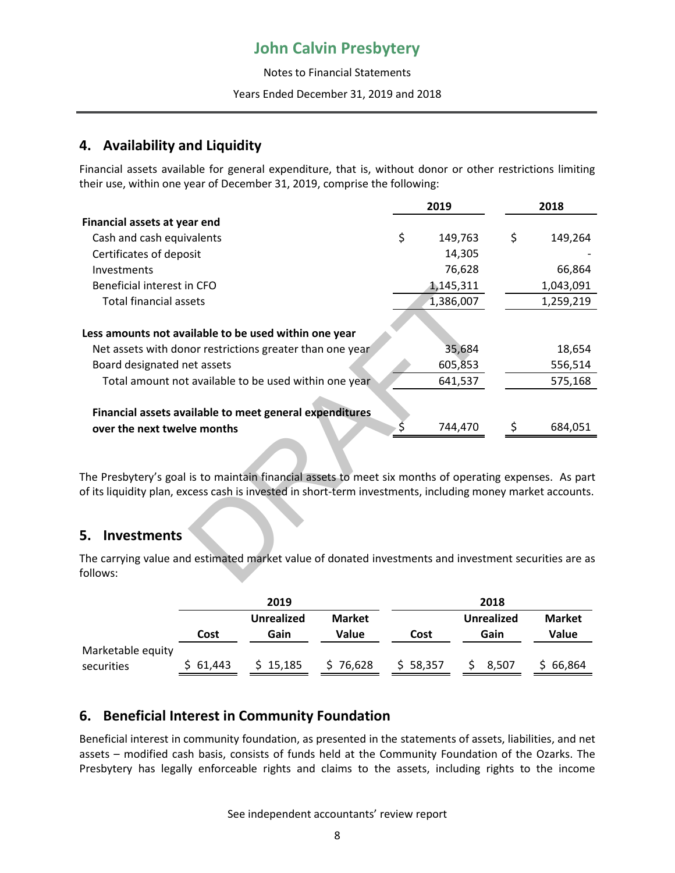Notes to Financial Statements

#### Years Ended December 31, 2019 and 2018

### **4. Availability and Liquidity**

Financial assets available for general expenditure, that is, without donor or other restrictions limiting their use, within one year of December 31, 2019, comprise the following:

|                                                                                                                   | 2019 |           | 2018          |
|-------------------------------------------------------------------------------------------------------------------|------|-----------|---------------|
| Financial assets at year end                                                                                      |      |           |               |
| Cash and cash equivalents                                                                                         | \$   | 149,763   | \$<br>149,264 |
| Certificates of deposit                                                                                           |      | 14,305    |               |
| Investments                                                                                                       |      | 76,628    | 66,864        |
| Beneficial interest in CFO                                                                                        |      | 1,145,311 | 1,043,091     |
| <b>Total financial assets</b>                                                                                     |      | 1,386,007 | 1,259,219     |
|                                                                                                                   |      |           |               |
| Less amounts not available to be used within one year                                                             |      |           |               |
| Net assets with donor restrictions greater than one year                                                          |      | 35,684    | 18,654        |
| Board designated net assets                                                                                       |      | 605,853   | 556,514       |
| Total amount not available to be used within one year                                                             |      | 641,537   | 575,168       |
|                                                                                                                   |      |           |               |
| Financial assets available to meet general expenditures                                                           |      |           |               |
| over the next twelve months                                                                                       |      | 744,470   | \$<br>684,051 |
|                                                                                                                   |      |           |               |
|                                                                                                                   |      |           |               |
| The Presbytery's goal is to maintain financial assets to meet six months of operating expenses. As part           |      |           |               |
| of its liquidity plan, excess cash is invested in short-term investments, including money market accounts.        |      |           |               |
|                                                                                                                   |      |           |               |
| 5.<br><b>Investments</b>                                                                                          |      |           |               |
| The carrying value and estimated market value of donated investments and investment securities are as<br>follows: |      |           |               |

### **5. Investments**

|                                 |          | 2019                      | 2018                   |          |                           |                        |  |
|---------------------------------|----------|---------------------------|------------------------|----------|---------------------------|------------------------|--|
|                                 | Cost     | <b>Unrealized</b><br>Gain | <b>Market</b><br>Value | Cost     | <b>Unrealized</b><br>Gain | <b>Market</b><br>Value |  |
| Marketable equity<br>securities | \$61,443 | \$15,185                  | 76,628                 | \$58,357 | 8,507                     | 66,864                 |  |
|                                 |          |                           |                        |          |                           |                        |  |

## **6. Beneficial Interest in Community Foundation**

Beneficial interest in community foundation, as presented in the statements of assets, liabilities, and net assets – modified cash basis, consists of funds held at the Community Foundation of the Ozarks. The Presbytery has legally enforceable rights and claims to the assets, including rights to the income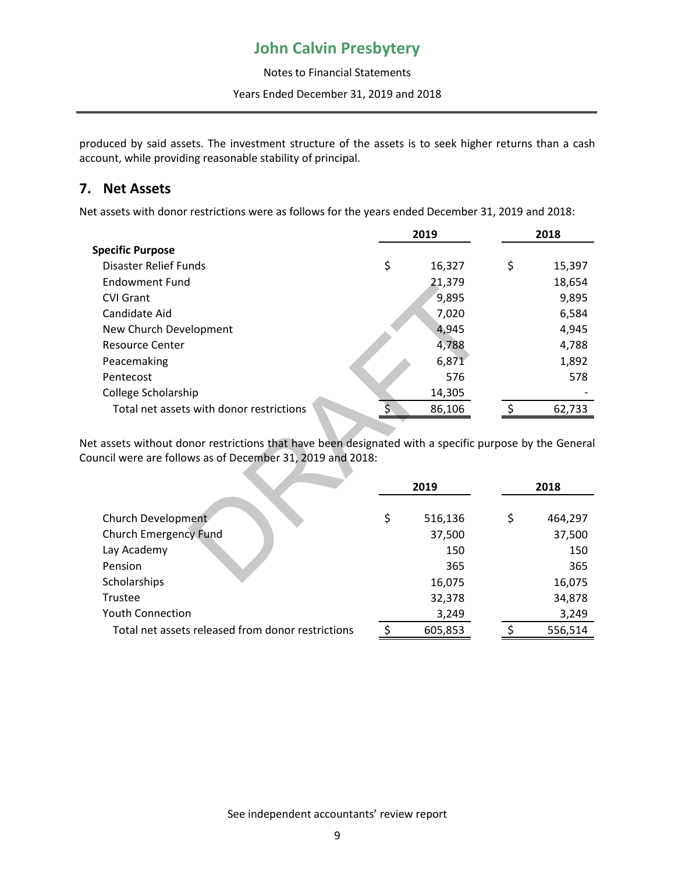Notes to Financial Statements Years Ended December 31, 2019 and 2018

produced by said assets. The investment structure of the assets is to seek higher returns than a cash account, while providing reasonable stability of principal.

### **7. Net Assets**

Net assets with donor restrictions were as follows for the years ended December 31, 2019 and 2018:

|                                                                                                                                                                  | 2019          | 2018          |
|------------------------------------------------------------------------------------------------------------------------------------------------------------------|---------------|---------------|
| <b>Specific Purpose</b>                                                                                                                                          |               |               |
| Disaster Relief Funds                                                                                                                                            | \$<br>16,327  | \$<br>15,397  |
| <b>Endowment Fund</b>                                                                                                                                            | 21,379        | 18,654        |
| <b>CVI Grant</b>                                                                                                                                                 | 9,895         | 9,895         |
| Candidate Aid                                                                                                                                                    | 7,020         | 6,584         |
| New Church Development                                                                                                                                           | 4,945         | 4,945         |
| <b>Resource Center</b>                                                                                                                                           | 4,788         | 4,788         |
| Peacemaking                                                                                                                                                      | 6,871         | 1,892         |
| Pentecost                                                                                                                                                        | 576           | 578           |
| College Scholarship                                                                                                                                              | 14,305        |               |
| Total net assets with donor restrictions                                                                                                                         | 86,106        | \$<br>62,733  |
| t assets without donor restrictions that have been designated with a specific purpose by the General<br>uncil were are follows as of December 31, 2019 and 2018: |               |               |
|                                                                                                                                                                  | 2019          | 2018          |
| Church Development                                                                                                                                               | \$<br>516,136 | \$<br>464,297 |
| <b>Church Emergency Fund</b>                                                                                                                                     | 37,500        | 37,500        |
| Lay Academy                                                                                                                                                      | 150           | 150           |
| Pension                                                                                                                                                          | 365           | 365           |
| Scholarchinc                                                                                                                                                     | <b>16 075</b> | 16 N 75       |

|                                                   | 2019 |         |  |    | 2018    |
|---------------------------------------------------|------|---------|--|----|---------|
|                                                   |      |         |  |    |         |
| Church Development                                | \$   | 516,136 |  | \$ | 464,297 |
| <b>Church Emergency Fund</b>                      |      | 37,500  |  |    | 37,500  |
| Lay Academy                                       |      | 150     |  |    | 150     |
| Pension                                           |      | 365     |  |    | 365     |
| Scholarships                                      |      | 16,075  |  |    | 16,075  |
| Trustee                                           |      | 32,378  |  |    | 34,878  |
| <b>Youth Connection</b>                           |      | 3,249   |  |    | 3,249   |
| Total net assets released from donor restrictions |      | 605,853 |  |    | 556,514 |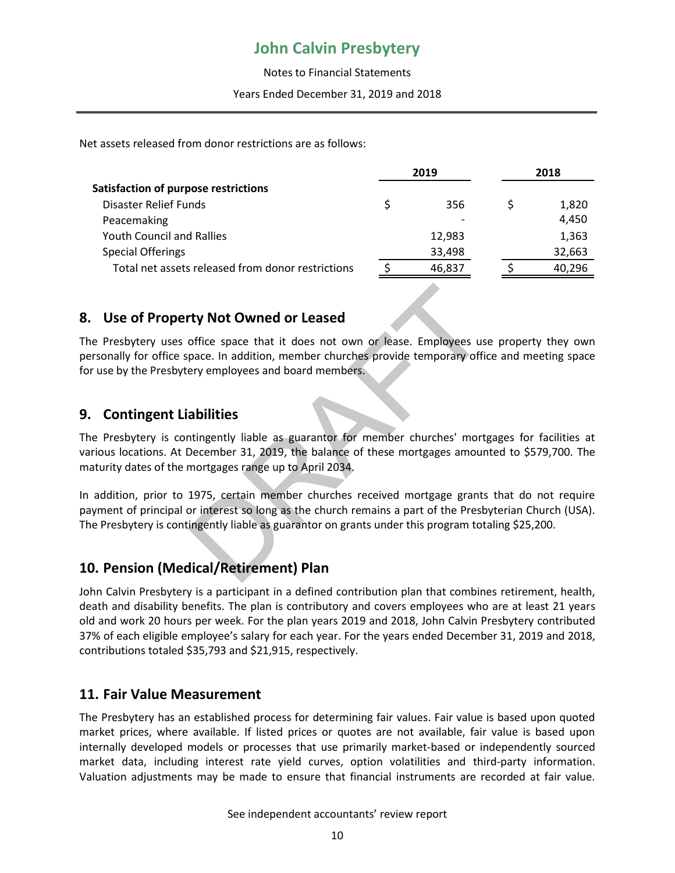Notes to Financial Statements Years Ended December 31, 2019 and 2018

Net assets released from donor restrictions are as follows:

| 2019 |        | 2018 |        |
|------|--------|------|--------|
|      |        |      |        |
|      | 356    |      | 1,820  |
|      |        |      | 4,450  |
|      | 12,983 |      | 1,363  |
|      | 33,498 |      | 32,663 |
|      | 46,837 |      | 40,296 |
|      |        |      |        |

### **8. Use of Property Not Owned or Leased**

The Presbytery uses office space that it does not own or lease. Employees use property they own personally for office space. In addition, member churches provide temporary office and meeting space for use by the Presbytery employees and board members.

### **9. Contingent Liabilities**

The Presbytery is contingently liable as guarantor for member churches' mortgages for facilities at various locations. At December 31, 2019, the balance of these mortgages amounted to \$579,700. The maturity dates of the mortgages range up to April 2034. The **CONTROM CONTROVIDY CONTROM CONTROLL CONTROM CONTROLL SCALL SCALL SCALL SCALL SCALL SPECIES THE ADDITIONS A<br>
Space. In addition, member churches provide temporary officery employees and board members.<br>
<b>Abilities**<br>
Sca

In addition, prior to 1975, certain member churches received mortgage grants that do not require payment of principal or interest so long as the church remains a part of the Presbyterian Church (USA). The Presbytery is contingently liable as guarantor on grants under this program totaling \$25,200.

### **10. Pension (Medical/Retirement) Plan**

John Calvin Presbytery is a participant in a defined contribution plan that combines retirement, health, death and disability benefits. The plan is contributory and covers employees who are at least 21 years old and work 20 hours per week. For the plan years 2019 and 2018, John Calvin Presbytery contributed 37% of each eligible employee's salary for each year. For the years ended December 31, 2019 and 2018, contributions totaled \$35,793 and \$21,915, respectively.

#### **11. Fair Value Measurement**

The Presbytery has an established process for determining fair values. Fair value is based upon quoted market prices, where available. If listed prices or quotes are not available, fair value is based upon internally developed models or processes that use primarily market-based or independently sourced market data, including interest rate yield curves, option volatilities and third-party information. Valuation adjustments may be made to ensure that financial instruments are recorded at fair value.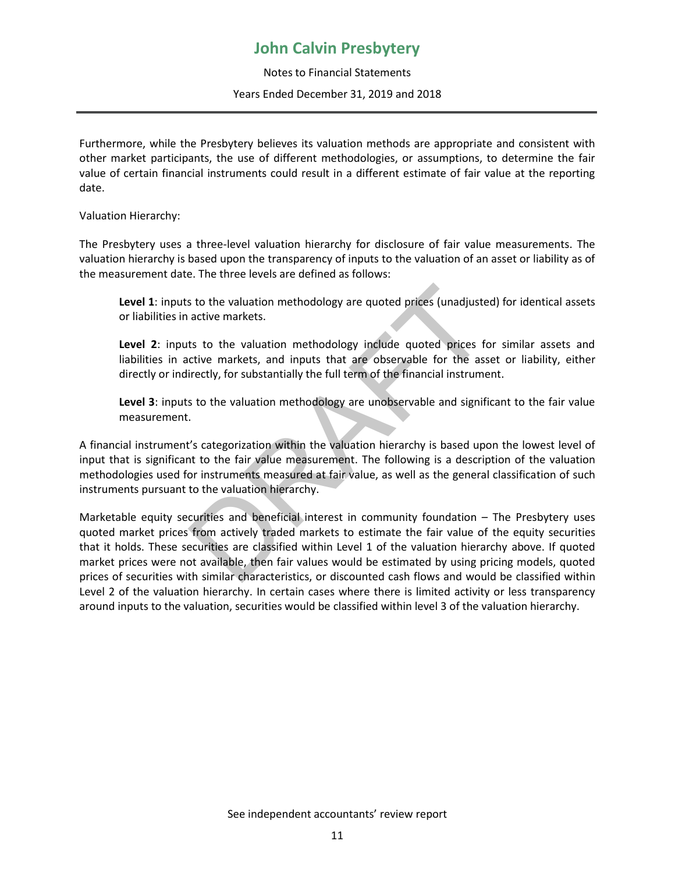Notes to Financial Statements Years Ended December 31, 2019 and 2018

Furthermore, while the Presbytery believes its valuation methods are appropriate and consistent with other market participants, the use of different methodologies, or assumptions, to determine the fair value of certain financial instruments could result in a different estimate of fair value at the reporting date.

Valuation Hierarchy:

The Presbytery uses a three-level valuation hierarchy for disclosure of fair value measurements. The valuation hierarchy is based upon the transparency of inputs to the valuation of an asset or liability as of the measurement date. The three levels are defined as follows:

**Level 1**: inputs to the valuation methodology are quoted prices (unadjusted) for identical assets or liabilities in active markets.

Level 2: inputs to the valuation methodology include quoted prices for similar assets and liabilities in active markets, and inputs that are observable for the asset or liability, either directly or indirectly, for substantially the full term of the financial instrument.

**Level 3**: inputs to the valuation methodology are unobservable and significant to the fair value measurement.

A financial instrument's categorization within the valuation hierarchy is based upon the lowest level of input that is significant to the fair value measurement. The following is a description of the valuation methodologies used for instruments measured at fair value, as well as the general classification of such instruments pursuant to the valuation hierarchy.

Marketable equity securities and beneficial interest in community foundation – The Presbytery uses quoted market prices from actively traded markets to estimate the fair value of the equity securities that it holds. These securities are classified within Level 1 of the valuation hierarchy above. If quoted market prices were not available, then fair values would be estimated by using pricing models, quoted prices of securities with similar characteristics, or discounted cash flows and would be classified within Level 2 of the valuation hierarchy. In certain cases where there is limited activity or less transparency around inputs to the valuation, securities would be classified within level 3 of the valuation hierarchy.s to the valuation methodology are quoted prices (unadjuste<br>active markets.<br>ts to the valuation methodology include quoted prices for<br>cive markets, and inputs that are observable for the assemently, for substantially the f